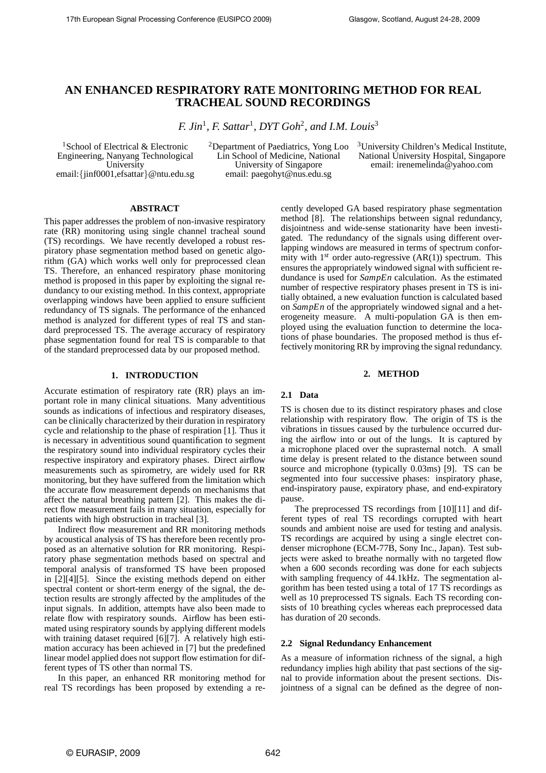# **AN ENHANCED RESPIRATORY RATE MONITORING METHOD FOR REAL TRACHEAL SOUND RECORDINGS**

*F. Jin*<sup>1</sup>*, F. Sattar*<sup>1</sup>*, DYT Goh*<sup>2</sup>*, and I.M. Louis*<sup>3</sup>

<sup>1</sup>School of Electrical & Electronic Engineering, Nanyang Technological University email:{jinf0001,efsattar}@ntu.edu.sg 2Department of Paediatrics, Yong Loo Lin School of Medicine, National University of Singapore email: paegohyt@nus.edu.sg

<sup>3</sup>University Children's Medical Institute, National University Hospital, Singapore email: irenemelinda@yahoo.com

# **ABSTRACT**

This paper addresses the problem of non-invasive respiratory rate (RR) monitoring using single channel tracheal sound (TS) recordings. We have recently developed a robust respiratory phase segmentation method based on genetic algorithm (GA) which works well only for preprocessed clean TS. Therefore, an enhanced respiratory phase monitoring method is proposed in this paper by exploiting the signal redundancy to our existing method. In this context, appropriate overlapping windows have been applied to ensure sufficient redundancy of TS signals. The performance of the enhanced method is analyzed for different types of real TS and standard preprocessed TS. The average accuracy of respiratory phase segmentation found for real TS is comparable to that of the standard preprocessed data by our proposed method.

# **1. INTRODUCTION**

Accurate estimation of respiratory rate (RR) plays an important role in many clinical situations. Many adventitious sounds as indications of infectious and respiratory diseases, can be clinically characterized by their duration in respiratory cycle and relationship to the phase of respiration [1]. Thus it is necessary in adventitious sound quantification to segment the respiratory sound into individual respiratory cycles their respective inspiratory and expiratory phases. Direct airflow measurements such as spirometry, are widely used for RR monitoring, but they have suffered from the limitation which the accurate flow measurement depends on mechanisms that affect the natural breathing pattern [2]. This makes the direct flow measurement fails in many situation, especially for patients with high obstruction in tracheal [3].

Indirect flow measurement and RR monitoring methods by acoustical analysis of TS has therefore been recently proposed as an alternative solution for RR monitoring. Respiratory phase segmentation methods based on spectral and temporal analysis of transformed TS have been proposed in [2][4][5]. Since the existing methods depend on either spectral content or short-term energy of the signal, the detection results are strongly affected by the amplitudes of the input signals. In addition, attempts have also been made to relate flow with respiratory sounds. Airflow has been estimated using respiratory sounds by applying different models with training dataset required [6][7]. A relatively high estimation accuracy has been achieved in [7] but the predefined linear model applied does not support flow estimation for different types of TS other than normal TS.

In this paper, an enhanced RR monitoring method for real TS recordings has been proposed by extending a recently developed GA based respiratory phase segmentation method [8]. The relationships between signal redundancy, disjointness and wide-sense stationarity have been investigated. The redundancy of the signals using different overlapping windows are measured in terms of spectrum conformity with  $1^{st}$  order auto-regressive  $(AR(1))$  spectrum. This ensures the appropriately windowed signal with sufficient redundance is used for *SampEn* calculation. As the estimated number of respective respiratory phases present in TS is initially obtained, a new evaluation function is calculated based on *SampEn* of the appropriately windowed signal and a heterogeneity measure. A multi-population GA is then employed using the evaluation function to determine the locations of phase boundaries. The proposed method is thus effectively monitoring RR by improving the signal redundancy.

# **2. METHOD**

# **2.1 Data**

TS is chosen due to its distinct respiratory phases and close relationship with respiratory flow. The origin of TS is the vibrations in tissues caused by the turbulence occurred during the airflow into or out of the lungs. It is captured by a microphone placed over the suprasternal notch. A small time delay is present related to the distance between sound source and microphone (typically 0*.*03ms) [9]. TS can be segmented into four successive phases: inspiratory phase, end-inspiratory pause, expiratory phase, and end-expiratory pause.

The preprocessed TS recordings from [10][11] and different types of real TS recordings corrupted with heart sounds and ambient noise are used for testing and analysis. TS recordings are acquired by using a single electret condenser microphone (ECM-77B, Sony Inc., Japan). Test subjects were asked to breathe normally with no targeted flow when a 600 seconds recording was done for each subjects with sampling frequency of 44*.*1kHz. The segmentation algorithm has been tested using a total of 17 TS recordings as well as 10 preprocessed TS signals. Each TS recording consists of 10 breathing cycles whereas each preprocessed data has duration of 20 seconds.

# **2.2 Signal Redundancy Enhancement**

As a measure of information richness of the signal, a high redundancy implies high ability that past sections of the signal to provide information about the present sections. Disjointness of a signal can be defined as the degree of non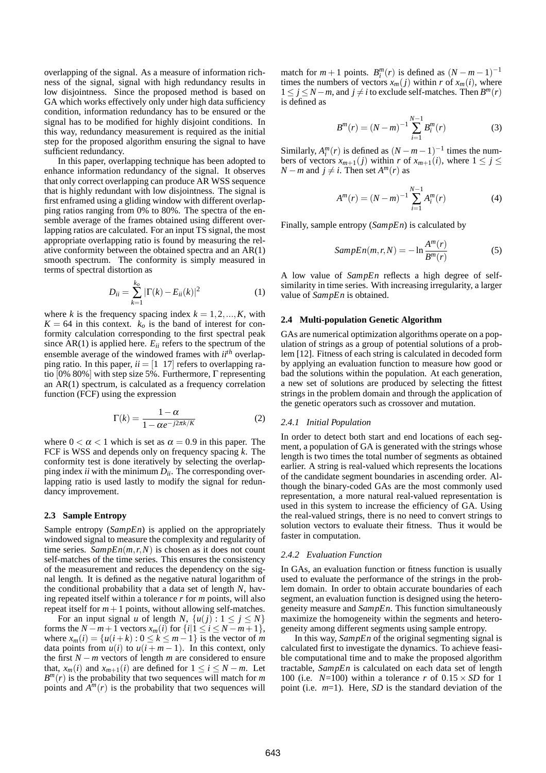overlapping of the signal. As a measure of information richness of the signal, signal with high redundancy results in low disjointness. Since the proposed method is based on GA which works effectively only under high data sufficiency condition, information redundancy has to be ensured or the signal has to be modified for highly disjoint conditions. In this way, redundancy measurement is required as the initial step for the proposed algorithm ensuring the signal to have sufficient redundancy.

In this paper, overlapping technique has been adopted to enhance information redundancy of the signal. It observes that only correct overlapping can produce AR WSS sequence that is highly redundant with low disjointness. The signal is first enframed using a gliding window with different overlapping ratios ranging from 0% to 80%. The spectra of the ensemble average of the frames obtained using different overlapping ratios are calculated. For an input TS signal, the most appropriate overlapping ratio is found by measuring the relative conformity between the obtained spectra and an AR(1) smooth spectrum. The conformity is simply measured in terms of spectral distortion as

$$
D_{ii} = \sum_{k=1}^{k_o} |\Gamma(k) - E_{ii}(k)|^2
$$
 (1)

where *k* is the frequency spacing index  $k = 1, 2, ..., K$ , with  $K = 64$  in this context.  $k_0$  is the band of interest for conformity calculation corresponding to the first spectral peak since  $AR(1)$  is applied here.  $E_{ii}$  refers to the spectrum of the ensemble average of the windowed frames with *iith* overlapping ratio. In this paper,  $ii = \begin{bmatrix} 1 \\ 1 \end{bmatrix}$  refers to overlapping ratio [0% 80%] with step size 5%. Furthermore, Γ representing an AR(1) spectrum, is calculated as a frequency correlation function (FCF) using the expression

$$
\Gamma(k) = \frac{1 - \alpha}{1 - \alpha e^{-j2\pi k/K}}\tag{2}
$$

where  $0 < \alpha < 1$  which is set as  $\alpha = 0.9$  in this paper. The FCF is WSS and depends only on frequency spacing *k*. The conformity test is done iteratively by selecting the overlapping index *ii* with the minimum *Dii*. The corresponding overlapping ratio is used lastly to modify the signal for redundancy improvement.

# **2.3 Sample Entropy**

Sample entropy (*SampEn*) is applied on the appropriately windowed signal to measure the complexity and regularity of time series. *SampEn*( $m, r, N$ ) is chosen as it does not count self-matches of the time series. This ensures the consistency of the measurement and reduces the dependency on the signal length. It is defined as the negative natural logarithm of the conditional probability that a data set of length *N*, having repeated itself within a tolerance *r* for *m* points, will also repeat itself for  $m+1$  points, without allowing self-matches.

For an input signal *u* of length *N*,  $\{u(j) : 1 \le j \le N\}$ forms the  $N - m + 1$  vectors  $x_m(i)$  for  $\{i | 1 \le i \le N - m + 1\}$ , where  $x_m(i) = \{u(i+k) : 0 \le k \le m-1\}$  is the vector of *m* data points from  $u(i)$  to  $u(i+m-1)$ . In this context, only the first  $N - m$  vectors of length  $m$  are considered to ensure that,  $x_m(i)$  and  $x_{m+1}(i)$  are defined for  $1 \le i \le N-m$ . Let  $B^m(r)$  is the probability that two sequences will match for *m* points and  $A^m(r)$  is the probability that two sequences will

match for  $m+1$  points.  $B_i^m(r)$  is defined as  $(N-m-1)^{-1}$ times the numbers of vectors  $x_m(i)$  within *r* of  $x_m(i)$ , where  $1 \leq j \leq N-m$ , and  $j \neq i$  to exclude self-matches. Then  $B^m(r)$ is defined as

$$
B^{m}(r) = (N-m)^{-1} \sum_{i=1}^{N-1} B_{i}^{m}(r)
$$
 (3)

Similarly,  $A_i^m(r)$  is defined as  $(N-m-1)^{-1}$  times the numbers of vectors  $x_{m+1}(j)$  within *r* of  $x_{m+1}(i)$ , where  $1 \leq j \leq$ *N* − *m* and  $j \neq i$ . Then set *A<sup>m</sup>*(*r*) as

$$
A^{m}(r) = (N-m)^{-1} \sum_{i=1}^{N-1} A_{i}^{m}(r)
$$
 (4)

Finally, sample entropy (*SampEn*) is calculated by

$$
SampEn(m,r,N) = -\ln \frac{A^m(r)}{B^m(r)}
$$
 (5)

A low value of *SampEn* reflects a high degree of selfsimilarity in time series. With increasing irregularity, a larger value of *SampEn* is obtained.

# **2.4 Multi-population Genetic Algorithm**

GAs are numerical optimization algorithms operate on a population of strings as a group of potential solutions of a problem [12]. Fitness of each string is calculated in decoded form by applying an evaluation function to measure how good or bad the solutions within the population. At each generation, a new set of solutions are produced by selecting the fittest strings in the problem domain and through the application of the genetic operators such as crossover and mutation.

#### *2.4.1 Initial Population*

In order to detect both start and end locations of each segment, a population of GA is generated with the strings whose length is two times the total number of segments as obtained earlier. A string is real-valued which represents the locations of the candidate segment boundaries in ascending order. Although the binary-coded GAs are the most commonly used representation, a more natural real-valued representation is used in this system to increase the efficiency of GA. Using the real-valued strings, there is no need to convert strings to solution vectors to evaluate their fitness. Thus it would be faster in computation.

#### *2.4.2 Evaluation Function*

In GAs, an evaluation function or fitness function is usually used to evaluate the performance of the strings in the problem domain. In order to obtain accurate boundaries of each segment, an evaluation function is designed using the heterogeneity measure and *SampEn*. This function simultaneously maximize the homogeneity within the segments and heterogeneity among different segments using sample entropy.

In this way, *SampEn* of the original segmenting signal is calculated first to investigate the dynamics. To achieve feasible computational time and to make the proposed algorithm tractable, *SampEn* is calculated on each data set of length 100 (i.e.  $N=100$ ) within a tolerance *r* of  $0.15 \times SD$  for 1 point (i.e. *m*=1). Here, *SD* is the standard deviation of the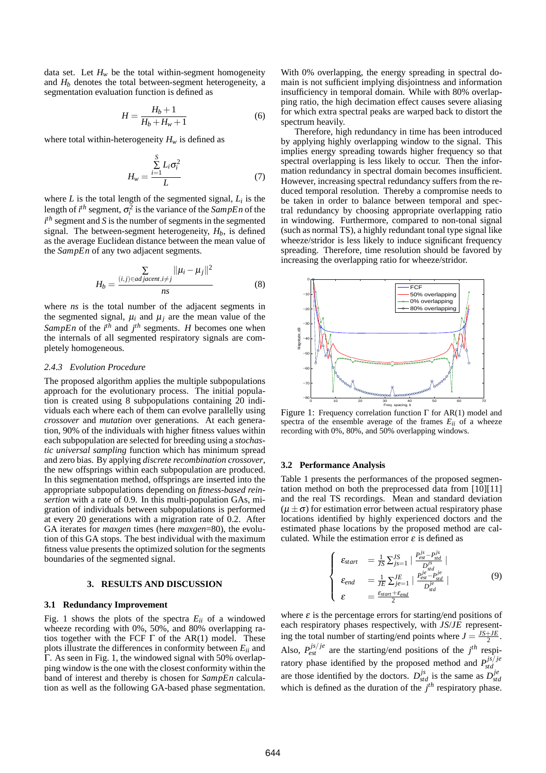data set. Let  $H_w$  be the total within-segment homogeneity and  $H<sub>b</sub>$  denotes the total between-segment heterogeneity, a segmentation evaluation function is defined as

$$
H = \frac{H_b + 1}{H_b + H_w + 1} \tag{6}
$$

where total within-heterogeneity  $H_w$  is defined as

$$
H_w = \frac{\sum_{i=1}^{S} L_i \sigma_i^2}{L}
$$
 (7)

where  $L$  is the total length of the segmented signal,  $L_i$  is the length of  $i^{th}$  segment,  $\sigma_i^2$  is the variance of the *SampEn* of the *i th* segment and *S* is the number of segments in the segmented signal. The between-segment heterogeneity,  $H_b$ , is defined as the average Euclidean distance between the mean value of the *SampEn* of any two adjacent segments.

$$
H_b = \frac{\sum\limits_{(i,j)\in adjacent, i\neq j} ||\mu_i - \mu_j||^2}{ns}
$$
 (8)

where *ns* is the total number of the adjacent segments in the segmented signal,  $\mu_i$  and  $\mu_j$  are the mean value of the *SampEn* of the  $i^{th}$  and  $j^{th}$  segments. *H* becomes one when the internals of all segmented respiratory signals are completely homogeneous.

# *2.4.3 Evolution Procedure*

The proposed algorithm applies the multiple subpopulations approach for the evolutionary process. The initial population is created using 8 subpopulations containing 20 individuals each where each of them can evolve parallelly using *crossover* and *mutation* over generations. At each generation, 90% of the individuals with higher fitness values within each subpopulation are selected for breeding using a *stochastic universal sampling* function which has minimum spread and zero bias. By applying *discrete recombination crossover*, the new offsprings within each subpopulation are produced. In this segmentation method, offsprings are inserted into the appropriate subpopulations depending on *fitness-based reinsertion* with a rate of 0.9. In this multi-population GAs, migration of individuals between subpopulations is performed at every 20 generations with a migration rate of 0.2. After GA iterates for *maxgen* times (here *maxgen*=80), the evolution of this GA stops. The best individual with the maximum fitness value presents the optimized solution for the segments boundaries of the segmented signal.

#### **3. RESULTS AND DISCUSSION**

### **3.1 Redundancy Improvement**

Fig. 1 shows the plots of the spectra  $E_{ii}$  of a windowed wheeze recording with 0%, 50%, and 80% overlapping ratios together with the FCF  $\Gamma$  of the AR(1) model. These plots illustrate the differences in conformity between  $E_{ii}$  and Γ. As seen in Fig. 1, the windowed signal with 50% overlapping window is the one with the closest conformity within the band of interest and thereby is chosen for *SampEn* calculation as well as the following GA-based phase segmentation.

With 0% overlapping, the energy spreading in spectral domain is not sufficient implying disjointness and information insufficiency in temporal domain. While with 80% overlapping ratio, the high decimation effect causes severe aliasing for which extra spectral peaks are warped back to distort the spectrum heavily.

Therefore, high redundancy in time has been introduced by applying highly overlapping window to the signal. This implies energy spreading towards higher frequency so that spectral overlapping is less likely to occur. Then the information redundancy in spectral domain becomes insufficient. However, increasing spectral redundancy suffers from the reduced temporal resolution. Thereby a compromise needs to be taken in order to balance between temporal and spectral redundancy by choosing appropriate overlapping ratio in windowing. Furthermore, compared to non-tonal signal (such as normal TS), a highly redundant tonal type signal like wheeze/stridor is less likely to induce significant frequency spreading. Therefore, time resolution should be favored by increasing the overlapping ratio for wheeze/stridor.



Figure 1: Frequency correlation function Γ for AR(1) model and spectra of the ensemble average of the frames  $E_{ii}$  of a wheeze recording with 0%, 80%, and 50% overlapping windows.

# **3.2 Performance Analysis**

Table 1 presents the performances of the proposed segmentation method on both the preprocessed data from [10][11] and the real TS recordings. Mean and standard deviation  $(\mu \pm \sigma)$  for estimation error between actual respiratory phase locations identified by highly experienced doctors and the estimated phase locations by the proposed method are calculated. While the estimation error  $\varepsilon$  is defined as

$$
\begin{cases}\n\varepsilon_{start} &= \frac{1}{JS} \sum_{j=1}^{JS} | \frac{P_{est}^{js} - P_{std}^{js}}{D_{std}^{js}} | \\
\varepsilon_{end} &= \frac{1}{JE} \sum_{j=1}^{JE} | \frac{P_{est}^{je} - P_{std}^{je}}{D_{std}^{je}} | \\
\varepsilon &= \frac{\varepsilon_{start} + \varepsilon_{end}}{2}
$$
\n(9)

where  $\varepsilon$  is the percentage errors for starting/end positions of each respiratory phases respectively, with *JS*/*JE* representing the total number of starting/end points where  $J = \frac{JS + JE}{2}$ . Also,  $P_{est}^{js/je}$  are the starting/end positions of the  $j^{th}$  respiratory phase identified by the proposed method and  $P_{std}^{js/je}$ are those identified by the doctors.  $D_{std}^{js}$  is the same as  $D_{std}^{je}$ which is defined as the duration of the  $j<sup>th</sup>$  respiratory phase.